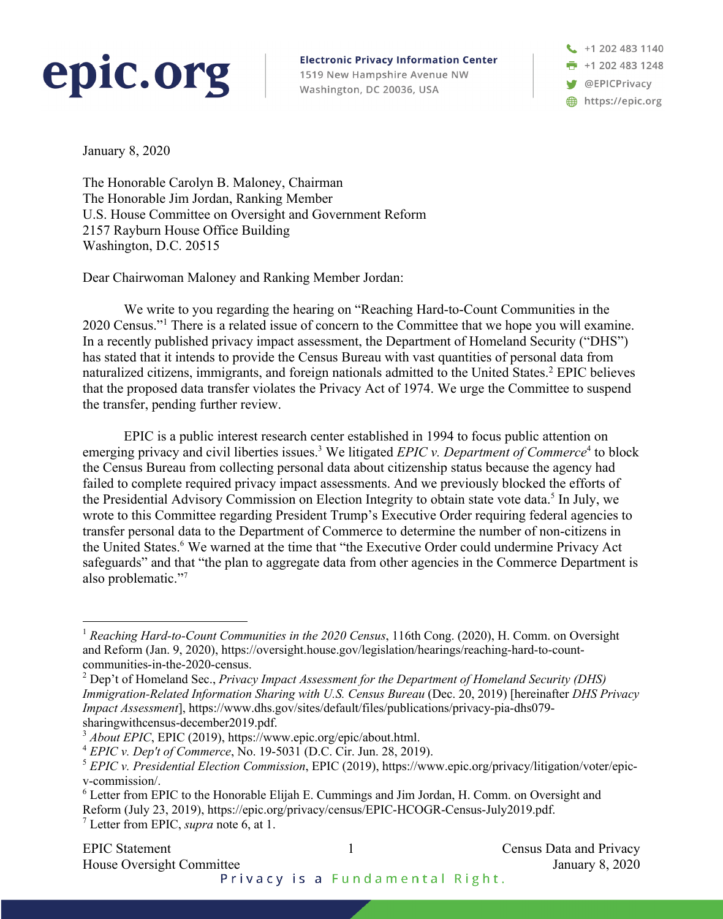## epic.org

**Electronic Privacy Information Center** 1519 New Hampshire Avenue NW Washington, DC 20036, USA

+1 202 483 1140 +1 202 483 1248 **S** @EPICPrivacy https://epic.org

January 8, 2020

The Honorable Carolyn B. Maloney, Chairman The Honorable Jim Jordan, Ranking Member U.S. House Committee on Oversight and Government Reform 2157 Rayburn House Office Building Washington, D.C. 20515

Dear Chairwoman Maloney and Ranking Member Jordan:

We write to you regarding the hearing on "Reaching Hard-to-Count Communities in the 2020 Census."1 There is a related issue of concern to the Committee that we hope you will examine. In a recently published privacy impact assessment, the Department of Homeland Security ("DHS") has stated that it intends to provide the Census Bureau with vast quantities of personal data from naturalized citizens, immigrants, and foreign nationals admitted to the United States. <sup>2</sup> EPIC believes that the proposed data transfer violates the Privacy Act of 1974. We urge the Committee to suspend the transfer, pending further review.

EPIC is a public interest research center established in 1994 to focus public attention on emerging privacy and civil liberties issues.<sup>3</sup> We litigated *EPIC v. Department of Commerce*<sup>4</sup> to block the Census Bureau from collecting personal data about citizenship status because the agency had failed to complete required privacy impact assessments. And we previously blocked the efforts of the Presidential Advisory Commission on Election Integrity to obtain state vote data.<sup>5</sup> In July, we wrote to this Committee regarding President Trump's Executive Order requiring federal agencies to transfer personal data to the Department of Commerce to determine the number of non-citizens in the United States. <sup>6</sup> We warned at the time that "the Executive Order could undermine Privacy Act safeguards" and that "the plan to aggregate data from other agencies in the Commerce Department is also problematic."<sup>7</sup>

<sup>1</sup> *Reaching Hard-to-Count Communities in the 2020 Census*, 116th Cong. (2020), H. Comm. on Oversight and Reform (Jan. 9, 2020), https://oversight.house.gov/legislation/hearings/reaching-hard-to-countcommunities-in-the-2020-census.

<sup>2</sup> Dep't of Homeland Sec., *Privacy Impact Assessment for the Department of Homeland Security (DHS) Immigration-Related Information Sharing with U.S. Census Bureau* (Dec. 20, 2019) [hereinafter *DHS Privacy Impact Assessment*], https://www.dhs.gov/sites/default/files/publications/privacy-pia-dhs079 sharingwithcensus-december2019.pdf.

<sup>&</sup>lt;sup>3</sup> *About EPIC*, EPIC (2019), https://www.epic.org/epic/about.html.

<sup>4</sup> *EPIC v. Dep't of Commerce*, No. 19-5031 (D.C. Cir. Jun. 28, 2019).

<sup>5</sup> *EPIC v. Presidential Election Commission*, EPIC (2019), https://www.epic.org/privacy/litigation/voter/epicv-commission/.

<sup>6</sup> Letter from EPIC to the Honorable Elijah E. Cummings and Jim Jordan, H. Comm. on Oversight and Reform (July 23, 2019), https://epic.org/privacy/census/EPIC-HCOGR-Census-July2019.pdf.

<sup>7</sup> Letter from EPIC, *supra* note 6, at 1.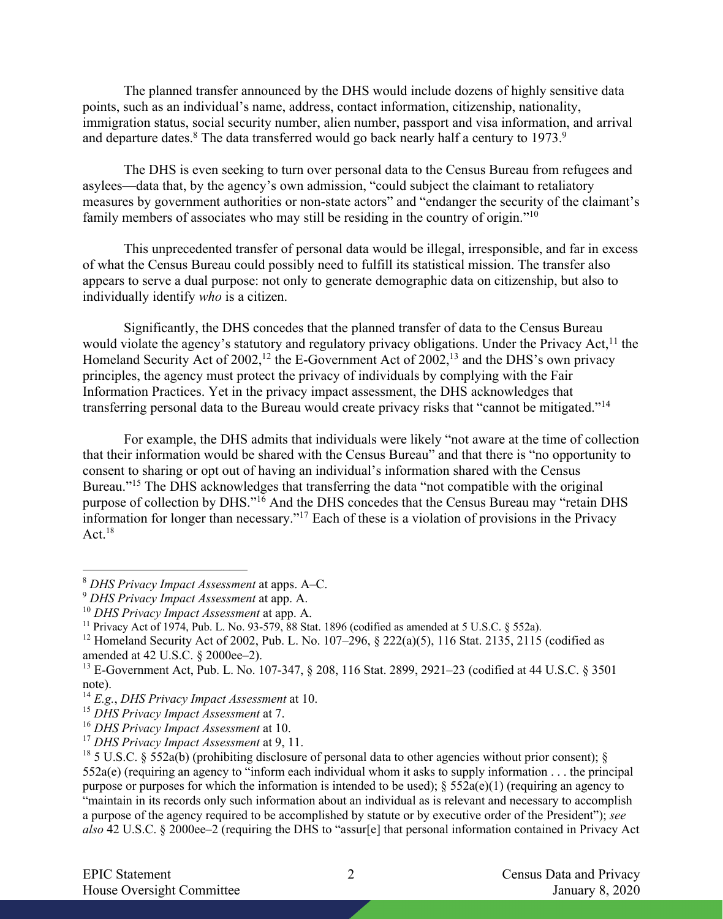The planned transfer announced by the DHS would include dozens of highly sensitive data points, such as an individual's name, address, contact information, citizenship, nationality, immigration status, social security number, alien number, passport and visa information, and arrival and departure dates.<sup>8</sup> The data transferred would go back nearly half a century to 1973.<sup>9</sup>

The DHS is even seeking to turn over personal data to the Census Bureau from refugees and asylees—data that, by the agency's own admission, "could subject the claimant to retaliatory measures by government authorities or non-state actors" and "endanger the security of the claimant's family members of associates who may still be residing in the country of origin."<sup>10</sup>

This unprecedented transfer of personal data would be illegal, irresponsible, and far in excess of what the Census Bureau could possibly need to fulfill its statistical mission. The transfer also appears to serve a dual purpose: not only to generate demographic data on citizenship, but also to individually identify *who* is a citizen.

Significantly, the DHS concedes that the planned transfer of data to the Census Bureau would violate the agency's statutory and regulatory privacy obligations. Under the Privacy Act,<sup>11</sup> the Homeland Security Act of 2002,<sup>12</sup> the E-Government Act of 2002,<sup>13</sup> and the DHS's own privacy principles, the agency must protect the privacy of individuals by complying with the Fair Information Practices. Yet in the privacy impact assessment, the DHS acknowledges that transferring personal data to the Bureau would create privacy risks that "cannot be mitigated."14

For example, the DHS admits that individuals were likely "not aware at the time of collection that their information would be shared with the Census Bureau" and that there is "no opportunity to consent to sharing or opt out of having an individual's information shared with the Census Bureau."<sup>15</sup> The DHS acknowledges that transferring the data "not compatible with the original purpose of collection by DHS."16 And the DHS concedes that the Census Bureau may "retain DHS information for longer than necessary."17 Each of these is a violation of provisions in the Privacy Act. $18$ 

<sup>8</sup> *DHS Privacy Impact Assessment* at apps. A–C.

<sup>9</sup> *DHS Privacy Impact Assessment* at app. A.

<sup>&</sup>lt;sup>11</sup> Privacy Act of 1974, Pub. L. No. 93-579, 88 Stat. 1896 (codified as amended at 5 U.S.C. § 552a).

<sup>&</sup>lt;sup>12</sup> Homeland Security Act of 2002, Pub. L. No. 107–296, § 222(a)(5), 116 Stat. 2135, 2115 (codified as amended at 42 U.S.C. § 2000ee–2).

<sup>13</sup> E-Government Act, Pub. L. No. 107-347, § 208, 116 Stat. 2899, 2921–23 (codified at 44 U.S.C. § 3501 note).

<sup>14</sup> *E.g.*, *DHS Privacy Impact Assessment* at 10.

<sup>15</sup> *DHS Privacy Impact Assessment* at 7.

<sup>16</sup> *DHS Privacy Impact Assessment* at 10.

<sup>17</sup> *DHS Privacy Impact Assessment* at 9, 11.

<sup>&</sup>lt;sup>18</sup> 5 U.S.C. § 552a(b) (prohibiting disclosure of personal data to other agencies without prior consent); § 552a(e) (requiring an agency to "inform each individual whom it asks to supply information . . . the principal purpose or purposes for which the information is intended to be used); § 552a(e)(1) (requiring an agency to "maintain in its records only such information about an individual as is relevant and necessary to accomplish a purpose of the agency required to be accomplished by statute or by executive order of the President"); *see also* 42 U.S.C. § 2000ee–2 (requiring the DHS to "assur[e] that personal information contained in Privacy Act